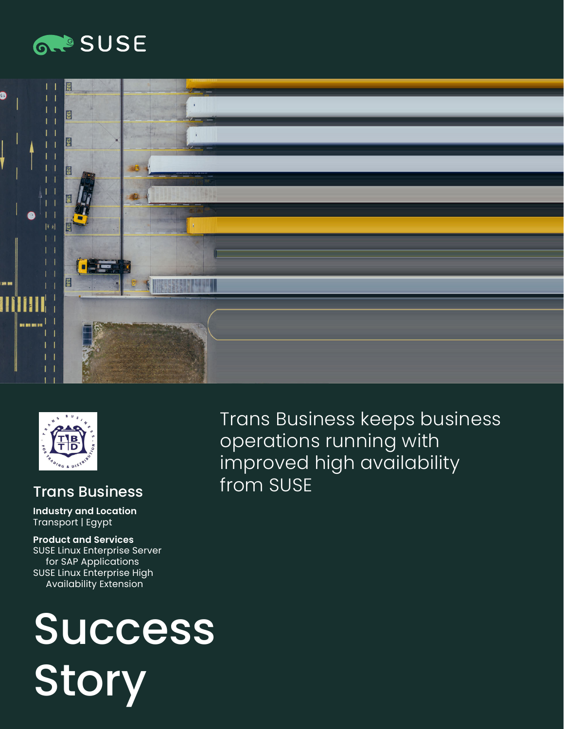





#### Trans Business

**Industry and Location**  Transport | Egypt

**Product and Services**  SUSE Linux Enterprise Server for SAP Applications SUSE Linux Enterprise High Availability Extension

# Success **Story**

Trans Business keeps business operations running with improved high availability from SUSE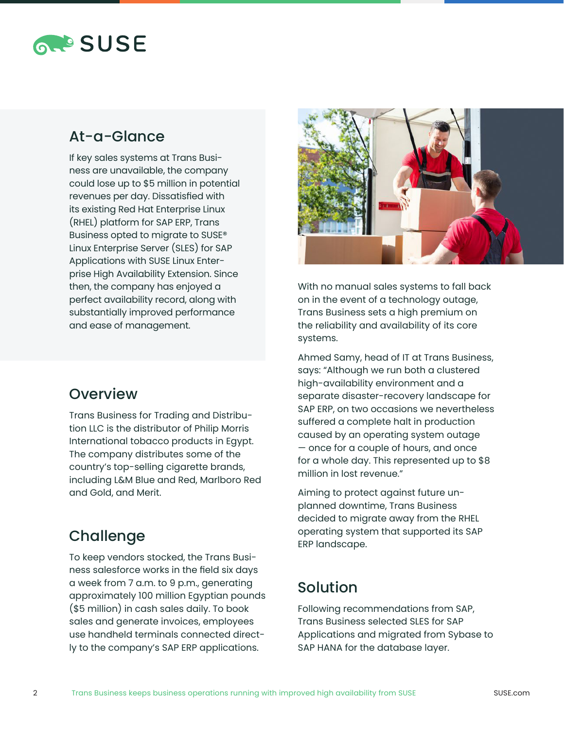

## At-a-Glance

If key sales systems at Trans Business are unavailable, the company could lose up to \$5 million in potential revenues per day. Dissatisfied with its existing Red Hat Enterprise Linux (RHEL) platform for SAP ERP, Trans Business opted to migrate to SUSE® Linux Enterprise Server (SLES) for SAP Applications with SUSE Linux Enterprise High Availability Extension. Since then, the company has enjoyed a perfect availability record, along with substantially improved performance and ease of management.

#### **Overview**

Trans Business for Trading and Distribution LLC is the distributor of Philip Morris International tobacco products in Egypt. The company distributes some of the country's top-selling cigarette brands, including L&M Blue and Red, Marlboro Red and Gold, and Merit.

# **Challenge**

To keep vendors stocked, the Trans Business salesforce works in the field six days a week from 7 a.m. to 9 p.m., generating approximately 100 million Egyptian pounds (\$5 million) in cash sales daily. To book sales and generate invoices, employees use handheld terminals connected directly to the company's SAP ERP applications.



With no manual sales systems to fall back on in the event of a technology outage, Trans Business sets a high premium on the reliability and availability of its core systems.

Ahmed Samy, head of IT at Trans Business, says: "Although we run both a clustered high-availability environment and a separate disaster-recovery landscape for SAP ERP, on two occasions we nevertheless suffered a complete halt in production caused by an operating system outage — once for a couple of hours, and once for a whole day. This represented up to \$8 million in lost revenue."

Aiming to protect against future unplanned downtime, Trans Business decided to migrate away from the RHEL operating system that supported its SAP ERP landscape.

# Solution

Following recommendations from SAP, Trans Business selected SLES for SAP Applications and migrated from Sybase to SAP HANA for the database layer.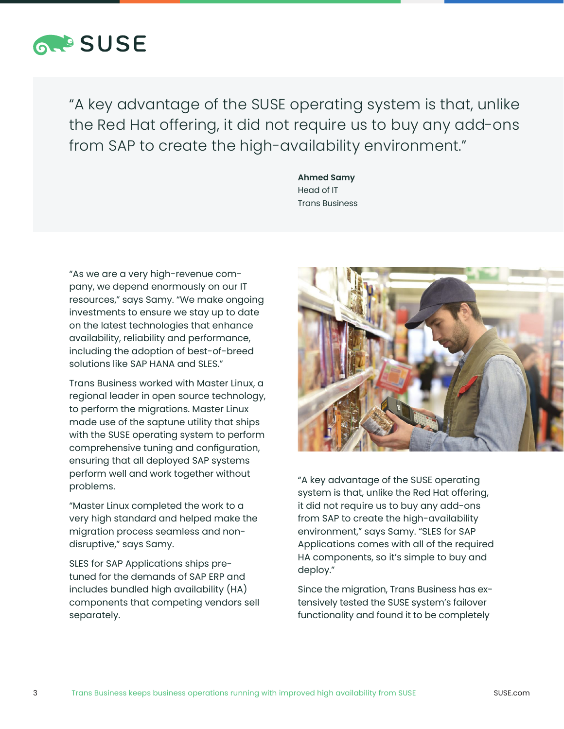

"A key advantage of the SUSE operating system is that, unlike the Red Hat offering, it did not require us to buy any add-ons from SAP to create the high-availability environment."

> **Ahmed Samy** Head of IT Trans Business

"As we are a very high-revenue company, we depend enormously on our IT resources," says Samy. "We make ongoing investments to ensure we stay up to date on the latest technologies that enhance availability, reliability and performance, including the adoption of best-of-breed solutions like SAP HANA and SLES."

Trans Business worked with Master Linux, a regional leader in open source technology, to perform the migrations. Master Linux made use of the saptune utility that ships with the SUSE operating system to perform comprehensive tuning and configuration, ensuring that all deployed SAP systems perform well and work together without problems.

"Master Linux completed the work to a very high standard and helped make the migration process seamless and nondisruptive," says Samy.

SLES for SAP Applications ships pretuned for the demands of SAP ERP and includes bundled high availability (HA) components that competing vendors sell separately.



"A key advantage of the SUSE operating system is that, unlike the Red Hat offering, it did not require us to buy any add-ons from SAP to create the high-availability environment," says Samy. "SLES for SAP Applications comes with all of the required HA components, so it's simple to buy and deploy."

Since the migration, Trans Business has extensively tested the SUSE system's failover functionality and found it to be completely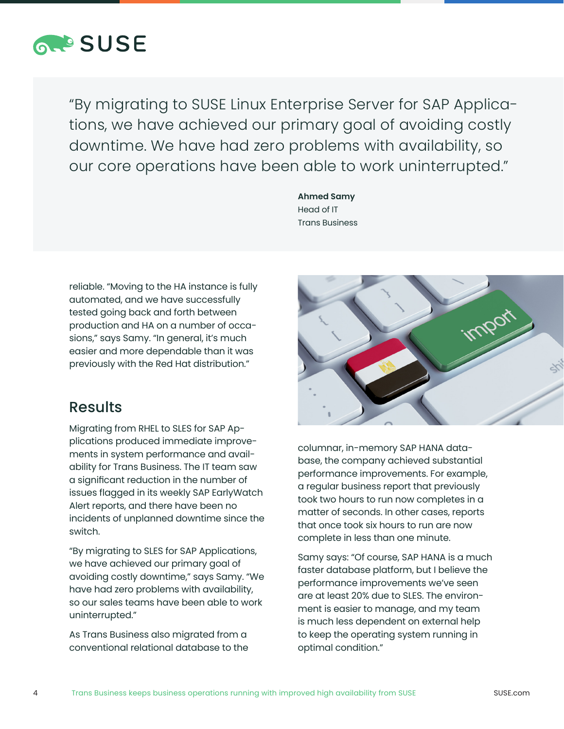

"By migrating to SUSE Linux Enterprise Server for SAP Applications, we have achieved our primary goal of avoiding costly downtime. We have had zero problems with availability, so our core operations have been able to work uninterrupted."

> **Ahmed Samy** Head of IT Trans Business

reliable. "Moving to the HA instance is fully automated, and we have successfully tested going back and forth between production and HA on a number of occasions," says Samy. "In general, it's much easier and more dependable than it was previously with the Red Hat distribution."

#### Results

Migrating from RHEL to SLES for SAP Applications produced immediate improvements in system performance and availability for Trans Business. The IT team saw a significant reduction in the number of issues flagged in its weekly SAP EarlyWatch Alert reports, and there have been no incidents of unplanned downtime since the switch.

"By migrating to SLES for SAP Applications, we have achieved our primary goal of avoiding costly downtime," says Samy. "We have had zero problems with availability, so our sales teams have been able to work uninterrupted."

As Trans Business also migrated from a conventional relational database to the



columnar, in-memory SAP HANA database, the company achieved substantial performance improvements. For example, a regular business report that previously took two hours to run now completes in a matter of seconds. In other cases, reports that once took six hours to run are now complete in less than one minute.

Samy says: "Of course, SAP HANA is a much faster database platform, but I believe the performance improvements we've seen are at least 20% due to SLES. The environment is easier to manage, and my team is much less dependent on external help to keep the operating system running in optimal condition."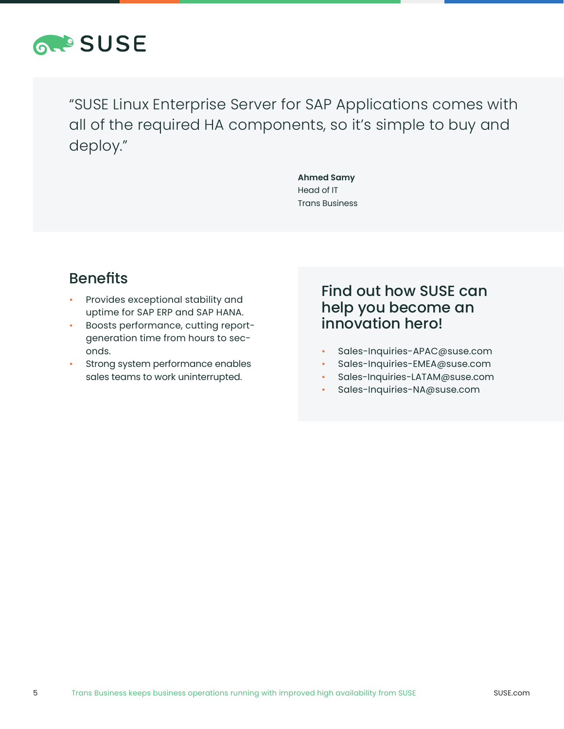

"SUSE Linux Enterprise Server for SAP Applications comes with all of the required HA components, so it's simple to buy and deploy."

> **Ahmed Samy** Head of IT Trans Business

# Benefits

- Provides exceptional stability and uptime for SAP ERP and SAP HANA.
- Boosts performance, cutting reportgeneration time from hours to seconds.
- Strong system performance enables sales teams to work uninterrupted.

## Find out how SUSE can help you become an innovation hero!

- Sales-Inquiries-APAC@suse.com
- Sales-Inquiries-EMEA@suse.com
- Sales-Inquiries-LATAM@suse.com
- Sales-Inquiries-NA@suse.com